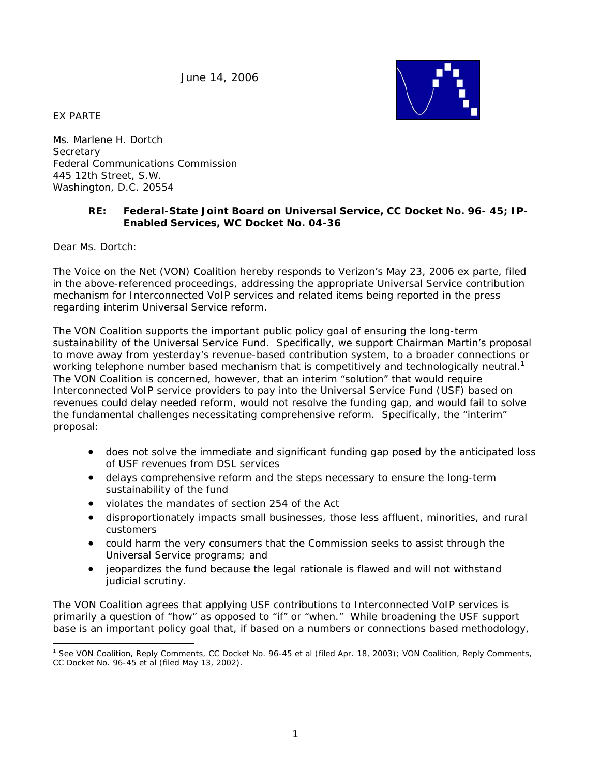June 14, 2006

EX PARTE



Ms. Marlene H. Dortch **Secretary** Federal Communications Commission 445 12th Street, S.W. Washington, D.C. 20554

# **RE: Federal-State Joint Board on Universal Service, CC Docket No. 96- 45; IP-Enabled Services, WC Docket No. 04-36**

Dear Ms. Dortch:

The Voice on the Net (VON) Coalition hereby responds to Verizon's May 23, 2006 *ex parte*, filed in the above-referenced proceedings, addressing the appropriate Universal Service contribution mechanism for Interconnected VoIP services and related items being reported in the press regarding interim Universal Service reform.

The VON Coalition supports the important public policy goal of ensuring the long-term sustainability of the Universal Service Fund. Specifically, we support Chairman Martin's proposal to move away from yesterday's revenue-based contribution system, to a broader connections or working telephone number based mechanism that is competitively and technologically neutral.<sup>1</sup> The VON Coalition is concerned, however, that an interim "solution" that would require Interconnected VoIP service providers to pay into the Universal Service Fund (USF) based on revenues could delay needed reform, would not resolve the funding gap, and would fail to solve the fundamental challenges necessitating comprehensive reform. Specifically, the "interim" proposal:

- does not solve the immediate and significant funding gap posed by the anticipated loss of USF revenues from DSL services
- delays comprehensive reform and the steps necessary to ensure the long-term sustainability of the fund
- violates the mandates of section 254 of the Act
- disproportionately impacts small businesses, those less affluent, minorities, and rural customers
- could harm the very consumers that the Commission seeks to assist through the Universal Service programs; and
- jeopardizes the fund because the legal rationale is flawed and will not withstand judicial scrutiny.

The VON Coalition agrees that applying USF contributions to Interconnected VoIP services is primarily a question of "how" as opposed to "if" or "when." While broadening the USF support base is an important policy goal that, if based on a numbers or connections based methodology,

<sup>1</sup> <sup>1</sup> *See* VON Coalition, Reply Comments, CC Docket No. 96-45 et al (filed Apr. 18, 2003); VON Coalition, Reply Comments, CC Docket No. 96-45 et al (filed May 13, 2002).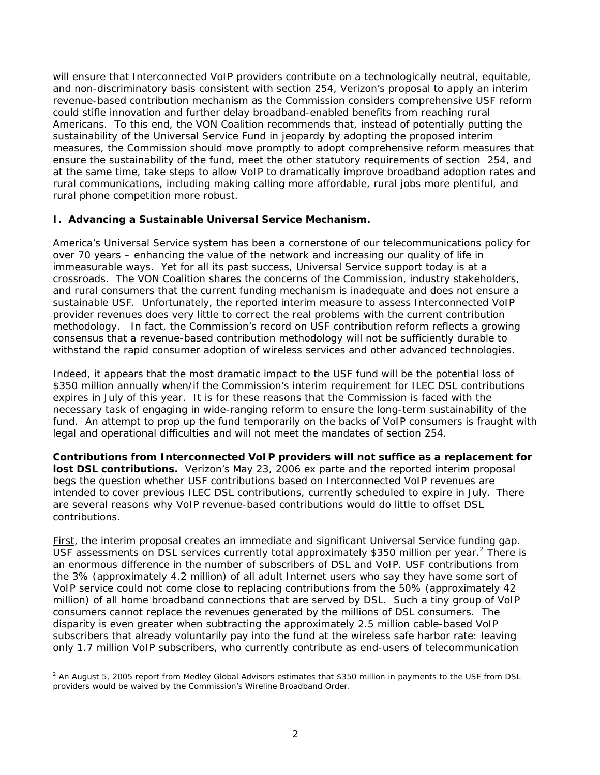will ensure that Interconnected VoIP providers contribute on a technologically neutral, equitable, and non-discriminatory basis consistent with section 254, Verizon's proposal to apply an interim revenue-based contribution mechanism as the Commission considers comprehensive USF reform could stifle innovation and further delay broadband-enabled benefits from reaching rural Americans. To this end, the VON Coalition recommends that, instead of potentially putting the sustainability of the Universal Service Fund in jeopardy by adopting the proposed interim measures, the Commission should move promptly to adopt comprehensive reform measures that ensure the sustainability of the fund, meet the other statutory requirements of section 254, and at the same time, take steps to allow VoIP to dramatically improve broadband adoption rates and rural communications, including making calling more affordable, rural jobs more plentiful, and rural phone competition more robust.

## **I. Advancing a Sustainable Universal Service Mechanism.**

America's Universal Service system has been a cornerstone of our telecommunications policy for over 70 years – enhancing the value of the network and increasing our quality of life in immeasurable ways. Yet for all its past success, Universal Service support today is at a crossroads. The VON Coalition shares the concerns of the Commission, industry stakeholders, and rural consumers that the current funding mechanism is inadequate and does not ensure a sustainable USF. Unfortunately, the reported interim measure to assess Interconnected VoIP provider revenues does very little to correct the real problems with the current contribution methodology. In fact, the Commission's record on USF contribution reform reflects a growing consensus that a revenue-based contribution methodology will not be sufficiently durable to withstand the rapid consumer adoption of wireless services and other advanced technologies.

Indeed, it appears that the most dramatic impact to the USF fund will be the potential loss of \$350 million annually when/if the Commission's interim requirement for ILEC DSL contributions expires in July of this year. It is for these reasons that the Commission is faced with the necessary task of engaging in wide-ranging reform to ensure the long-term sustainability of the fund. An attempt to prop up the fund temporarily on the backs of VoIP consumers is fraught with legal and operational difficulties and will not meet the mandates of section 254.

**Contributions from Interconnected VoIP providers will not suffice as a replacement for lost DSL contributions.** Verizon's May 23, 2006 *ex parte* and the reported interim proposal begs the question whether USF contributions based on Interconnected VoIP revenues are intended to cover previous ILEC DSL contributions, currently scheduled to expire in July. There are several reasons why VoIP revenue-based contributions would do little to offset DSL contributions.

First, the interim proposal creates an immediate and significant Universal Service funding gap. USF assessments on DSL services currently total approximately \$350 million per year.<sup>2</sup> There is an enormous difference in the number of subscribers of DSL and VoIP. USF contributions from the 3% (approximately 4.2 million) of all adult Internet users who say they have some sort of VoIP service could not come close to replacing contributions from the 50% (approximately 42 million) of all home broadband connections that are served by DSL. Such a tiny group of VoIP consumers cannot replace the revenues generated by the millions of DSL consumers. The disparity is even greater when subtracting the approximately 2.5 million cable-based VoIP subscribers that already voluntarily pay into the fund at the wireless safe harbor rate: leaving only 1.7 million VoIP subscribers, who currently contribute as end-users of telecommunication

 <sup>2</sup> An August 5, 2005 report from Medley Global Advisors estimates that \$350 million in payments to the USF from DSL providers would be waived by the Commission's *Wireline Broadband Order*.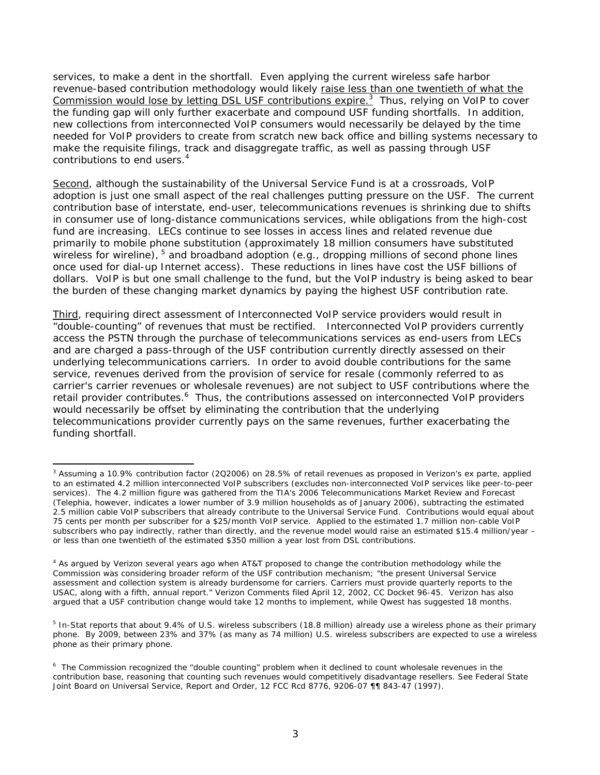services, to make a dent in the shortfall. Even applying the current wireless safe harbor revenue-based contribution methodology would likely raise *less than one twentieth* of what the Commission would lose by letting DSL USF contributions expire.<sup>3</sup> Thus, relying on VoIP to cover the funding gap will only further exacerbate and compound USF funding shortfalls. In addition, new collections from interconnected VoIP consumers would necessarily be delayed by the time needed for VoIP providers to create from scratch new back office and billing systems necessary to make the requisite filings, track and disaggregate traffic, as well as passing through USF contributions to end users.<sup>4</sup>

Second, although the sustainability of the Universal Service Fund is at a crossroads, VoIP adoption is just one small aspect of the real challenges putting pressure on the USF. The current contribution base of interstate, end-user, telecommunications revenues is shrinking due to shifts in consumer use of long-distance communications services, while obligations from the high-cost fund are increasing. LECs continue to see losses in access lines and related revenue due primarily to mobile phone substitution (approximately 18 million consumers have substituted wireless for wireline), 5 and broadband adoption (*e.g.,* dropping millions of second phone lines once used for dial-up Internet access). These reductions in lines have cost the USF billions of dollars. VoIP is but one small challenge to the fund, but the VoIP industry is being asked to bear the burden of these changing market dynamics by paying the highest USF contribution rate.

Third, requiring direct assessment of Interconnected VoIP service providers would result in "double-counting" of revenues that must be rectified. Interconnected VoIP providers currently access the PSTN through the purchase of telecommunications services as end-users from LECs and are charged a pass-through of the USF contribution currently directly assessed on their underlying telecommunications carriers. In order to avoid double contributions for the same service, revenues derived from the provision of service for resale (commonly referred to as carrier's carrier revenues or wholesale revenues) are not subject to USF contributions where the retail provider contributes.<sup>6</sup> Thus, the contributions assessed on interconnected VoIP providers would necessarily be offset by eliminating the contribution that the underlying telecommunications provider currently pays on the same revenues, further exacerbating the funding shortfall.

<sup>-</sup><sup>3</sup> Assuming a 10.9% contribution factor (2Q2006) on 28.5% of retail revenues as proposed in Verizon's ex parte, applied to an estimated 4.2 million interconnected VoIP subscribers (excludes non-interconnected VoIP services like peer-to-peer services). The 4.2 million figure was gathered from the TIA's *2006 Telecommunications Market Review and Forecast*  (Telephia, however, indicates a lower number of 3.9 million households as of January 2006), subtracting the estimated 2.5 million cable VoIP subscribers that already contribute to the Universal Service Fund. Contributions would equal about 75 cents per month per subscriber for a \$25/month VoIP service. Applied to the estimated 1.7 million non-cable VoIP subscribers who pay indirectly, rather than directly, and the revenue model would raise an estimated \$15.4 million/year – or less than one twentieth of the estimated \$350 million a year lost from DSL contributions.

<sup>4</sup> As argued by Verizon several years ago when AT&T proposed to change the contribution methodology while the Commission was considering broader reform of the USF contribution mechanism; "the present Universal Service assessment and collection system is already burdensome for carriers. Carriers must provide quarterly reports to the USAC, along with a fifth, annual report." Verizon Comments filed April 12, 2002, CC Docket 96-45. Verizon has also argued that a USF contribution change would take 12 months to implement, while Qwest has suggested 18 months.

<sup>&</sup>lt;sup>5</sup> In-Stat reports that about 9.4% of U.S. wireless subscribers (18.8 million) already use a wireless phone as their primary phone. By 2009, between 23% and 37% (as many as 74 million) U.S. wireless subscribers are expected to use a wireless phone as their primary phone.

<sup>6</sup> The Commission recognized the "double counting" problem when it declined to count wholesale revenues in the contribution base, reasoning that counting such revenues would competitively disadvantage resellers. *See Federal State Joint Board on Universal Service,* Report and Order*,* 12 FCC Rcd 8776, 9206-07 ¶¶ 843-47 (1997).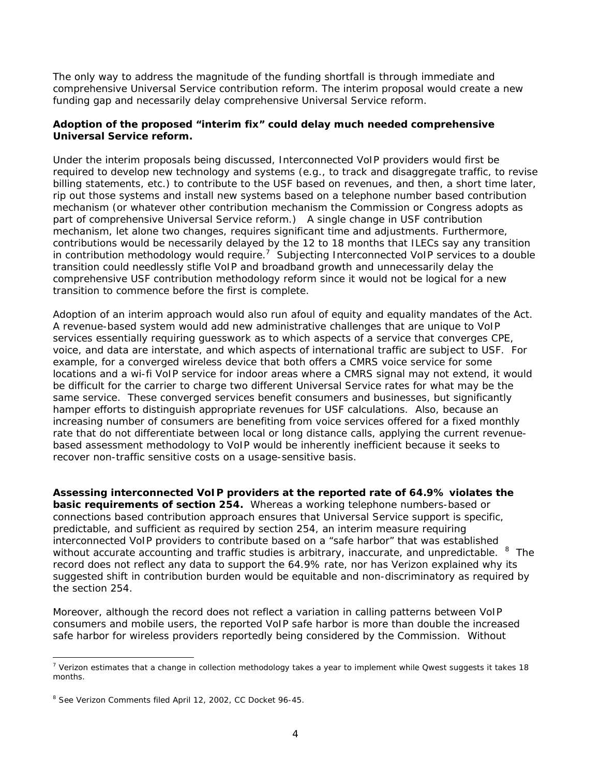The only way to address the magnitude of the funding shortfall is through immediate and comprehensive Universal Service contribution reform. The interim proposal would create a new funding gap and necessarily delay comprehensive Universal Service reform.

## **Adoption of the proposed "interim fix" could delay much needed comprehensive Universal Service reform.**

Under the interim proposals being discussed, Interconnected VoIP providers would first be required to develop new technology and systems (*e.g.,* to track and disaggregate traffic, to revise billing statements, etc.) to contribute to the USF based on revenues, and then, a short time later, rip out those systems and install new systems based on a telephone number based contribution mechanism (or whatever other contribution mechanism the Commission or Congress adopts as part of comprehensive Universal Service reform.) A single change in USF contribution mechanism, let alone two changes, requires significant time and adjustments. Furthermore, contributions would be necessarily delayed by the 12 to 18 months that ILECs say any transition in contribution methodology would require.<sup>7</sup> Subjecting Interconnected VoIP services to a double transition could needlessly stifle VoIP and broadband growth and unnecessarily delay the comprehensive USF contribution methodology reform since it would not be logical for a new transition to commence before the first is complete.

Adoption of an interim approach would also run afoul of equity and equality mandates of the Act. A revenue-based system would add new administrative challenges that are unique to VoIP services essentially requiring guesswork as to which aspects of a service that converges CPE, voice, and data are interstate, and which aspects of international traffic are subject to USF. For example, for a converged wireless device that both offers a CMRS voice service for some locations and a wi-fi VoIP service for indoor areas where a CMRS signal may not extend, it would be difficult for the carrier to charge two different Universal Service rates for what may be the same service. These converged services benefit consumers and businesses, but significantly hamper efforts to distinguish appropriate revenues for USF calculations. Also, because an increasing number of consumers are benefiting from voice services offered for a fixed monthly rate that do not differentiate between local or long distance calls, applying the current revenuebased assessment methodology to VoIP would be inherently inefficient because it seeks to recover non-traffic sensitive costs on a usage-sensitive basis.

**Assessing interconnected VoIP providers at the reported rate of 64.9% violates the basic requirements of section 254.** Whereas a working telephone numbers-based or connections based contribution approach ensures that Universal Service support is specific, predictable, and sufficient as required by section 254, an interim measure requiring interconnected VoIP providers to contribute based on a "safe harbor" that was established without accurate accounting and traffic studies is arbitrary, inaccurate, and unpredictable.  $8$  The record does not reflect any data to support the 64.9% rate, nor has Verizon explained why its suggested shift in contribution burden would be equitable and non-discriminatory as required by the section 254.

Moreover, although the record does not reflect a variation in calling patterns between VoIP consumers and mobile users, the reported VoIP safe harbor is *more than double* the increased safe harbor for wireless providers reportedly being considered by the Commission. Without

 <sup>7</sup> Verizon estimates that a change in collection methodology takes a year to implement while Qwest suggests it takes 18 months.

<sup>&</sup>lt;sup>8</sup> See Verizon Comments filed April 12, 2002, CC Docket 96-45.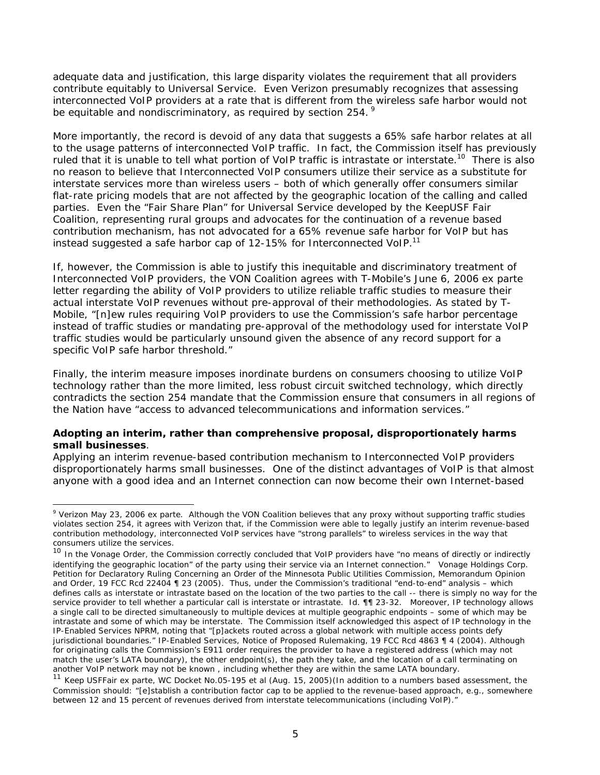adequate data and justification, this large disparity violates the requirement that all providers contribute equitably to Universal Service. Even Verizon presumably recognizes that assessing interconnected VoIP providers at a rate that is different from the wireless safe harbor would not be equitable and nondiscriminatory, as required by section 254.<sup>9</sup>

More importantly, the record is devoid of any data that suggests a 65% safe harbor relates at all to the usage patterns of interconnected VoIP traffic. In fact, the Commission itself has previously ruled that it is unable to tell what portion of VoIP traffic is intrastate or interstate.<sup>10</sup> There is also no reason to believe that Interconnected VoIP consumers utilize their service as a substitute for interstate services more than wireless users – both of which generally offer consumers similar flat-rate pricing models that are not affected by the geographic location of the calling and called parties. Even the "Fair Share Plan" for Universal Service developed by the KeepUSF Fair Coalition, representing rural groups and advocates for the continuation of a revenue based contribution mechanism, has not advocated for a 65% revenue safe harbor for VoIP but has instead suggested a safe harbor cap of 12-15% for Interconnected VoIP.<sup>11</sup>

If, however, the Commission is able to justify this inequitable and discriminatory treatment of Interconnected VoIP providers, the VON Coalition agrees with T-Mobile's June 6, 2006 *ex parte* letter regarding the ability of VoIP providers to utilize reliable traffic studies to measure their actual interstate VoIP revenues without pre-approval of their methodologies. As stated by T-Mobile, "[n]ew rules requiring VoIP providers to use the Commission's safe harbor percentage instead of traffic studies or mandating pre-approval of the methodology used for interstate VoIP traffic studies would be particularly unsound given the absence of any record support for a specific VoIP safe harbor threshold."

Finally, the interim measure imposes inordinate burdens on consumers choosing to utilize VoIP technology rather than the more limited, less robust circuit switched technology, which directly contradicts the section 254 mandate that the Commission ensure that consumers in all regions of the Nation have "access to advanced telecommunications and information services."

### **Adopting an interim, rather than comprehensive proposal, disproportionately harms small businesses**.

Applying an interim revenue-based contribution mechanism to Interconnected VoIP providers disproportionately harms small businesses. One of the distinct advantages of VoIP is that almost anyone with a good idea and an Internet connection can now become their own Internet-based

1

<sup>9</sup> Verizon May 23, 2006 *ex parte*. Although the VON Coalition believes that any proxy without supporting traffic studies violates section 254, it agrees with Verizon that, if the Commission were able to legally justify an interim revenue-based contribution methodology, interconnected VoIP services have "strong parallels" to wireless services in the way that consumers utilize the services.

<sup>10</sup> In the *Vonage Order*, the Commission correctly concluded that VoIP providers have "no means of directly or indirectly identifying the geographic location" of the party using their service via an Internet connection." *Vonage Holdings Corp. Petition for Declaratory Ruling Concerning an Order of the Minnesota Public Utilities Commission,* Memorandum Opinion and Order, 19 FCC Rcd 22404 ¶ 23 (2005). Thus, under the Commission's traditional "end-to-end" analysis – which defines calls as interstate or intrastate based on the location of the two parties to the call -- there is simply no way for the service provider to tell whether a particular call is interstate or intrastate. *Id.* ¶¶ 23-32. Moreover, IP technology allows a single call to be directed simultaneously to multiple devices at multiple geographic endpoints – some of which may be intrastate and some of which may be interstate. The Commission itself acknowledged this aspect of IP technology in the *IP-Enabled Services NPRM*, noting that "[p]ackets routed across a global network with multiple access points defy jurisdictional boundaries." *IP-Enabled Services,* Notice of Proposed Rulemaking, 19 FCC Rcd 4863 ¶ 4 (2004). Although for originating calls the Commission's E911 order requires the provider to have a registered address (which may not match the user's LATA boundary), the other endpoint(s), the path they take, and the location of a call terminating on another VoIP network may not be known , including whether they are within the same LATA boundary.

<sup>11</sup> Keep USFFair *ex parte*, WC Docket No.05-195 et al (Aug. 15, 2005)(In addition to a numbers based assessment, the Commission should: "[e]stablish a contribution factor cap to be applied to the revenue-based approach, e.g., somewhere between 12 and 15 percent of revenues derived from interstate telecommunications (including VoIP)."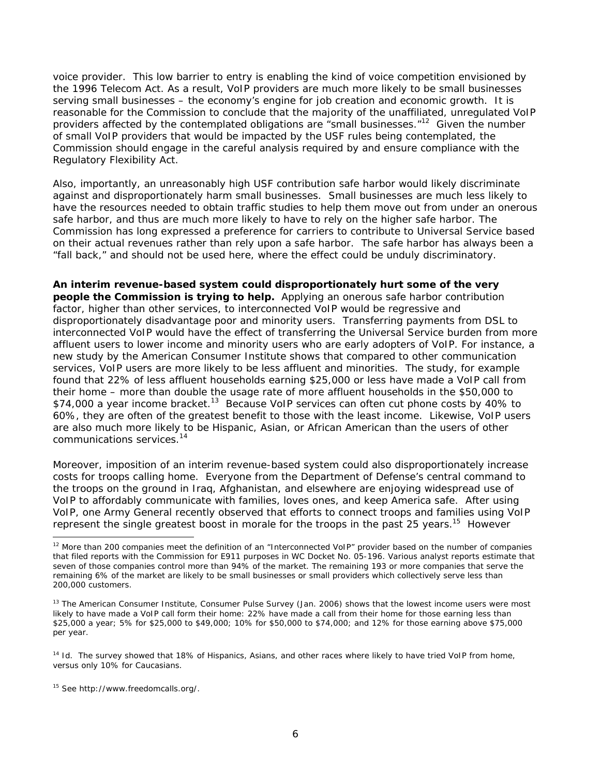voice provider. This low barrier to entry is enabling the kind of voice competition envisioned by the 1996 Telecom Act. As a result, VoIP providers are much more likely to be small businesses serving small businesses – the economy's engine for job creation and economic growth. It is reasonable for the Commission to conclude that the majority of the unaffiliated, unregulated VoIP providers affected by the contemplated obligations are "small businesses."<sup>12</sup> Given the number of small VoIP providers that would be impacted by the USF rules being contemplated, the Commission should engage in the careful analysis required by and ensure compliance with the Regulatory Flexibility Act.

Also, importantly, an unreasonably high USF contribution safe harbor would likely discriminate against and disproportionately harm small businesses. Small businesses are much less likely to have the resources needed to obtain traffic studies to help them move out from under an onerous safe harbor, and thus are much more likely to have to rely on the higher safe harbor. The Commission has long expressed a preference for carriers to contribute to Universal Service based on their actual revenues rather than rely upon a safe harbor. The safe harbor has always been a "fall back," and should not be used here, where the effect could be unduly discriminatory.

**An interim revenue-based system could disproportionately hurt some of the very people the Commission is trying to help.** Applying an onerous safe harbor contribution factor, higher than other services, to interconnected VoIP would be regressive and disproportionately disadvantage poor and minority users. Transferring payments from DSL to interconnected VoIP would have the effect of transferring the Universal Service burden from more affluent users to lower income and minority users who are early adopters of VoIP. For instance, a new study by the American Consumer Institute shows that compared to other communication services, VoIP users are more likely to be less affluent and minorities. The study, for example found that 22% of less affluent households earning \$25,000 or less have made a VoIP call from their home – more than double the usage rate of more affluent households in the \$50,000 to \$74,000 a year income bracket.<sup>13</sup> Because VoIP services can often cut phone costs by 40% to 60%, they are often of the greatest benefit to those with the least income. Likewise, VoIP users are also much more likely to be Hispanic, Asian, or African American than the users of other communications services.14

Moreover, imposition of an interim revenue-based system could also disproportionately increase costs for troops calling home.Everyone from the Department of Defense's central command to the troops on the ground in Iraq, Afghanistan, and elsewhere are enjoying widespread use of VoIP to affordably communicate with families, loves ones, and keep America safe. After using VoIP, one Army General recently observed that efforts to connect troops and families using VoIP represent the single greatest boost in morale for the troops in the past 25 years.<sup>15</sup> However

 $12$  More than 200 companies meet the definition of an "Interconnected VoIP" provider based on the number of companies that filed reports with the Commission for E911 purposes in WC Docket No. 05-196. Various analyst reports estimate that seven of those companies control more than 94% of the market. The remaining 193 or more companies that serve the remaining 6% of the market are likely to be small businesses or small providers which collectively serve less than 200,000 customers.

<sup>&</sup>lt;sup>13</sup> The American Consumer Institute, Consumer Pulse Survey (Jan. 2006) shows that the lowest income users were most likely to have made a VoIP call form their home: 22% have made a call from their home for those earning less than \$25,000 a year; 5% for \$25,000 to \$49,000; 10% for \$50,000 to \$74,000; and 12% for those earning above \$75,000 per year.

<sup>&</sup>lt;sup>14</sup> *Id.* The survey showed that 18% of Hispanics, Asians, and other races where likely to have tried VoIP from home, versus only 10% for Caucasians.

<sup>15</sup> *See* http://www.freedomcalls.org/.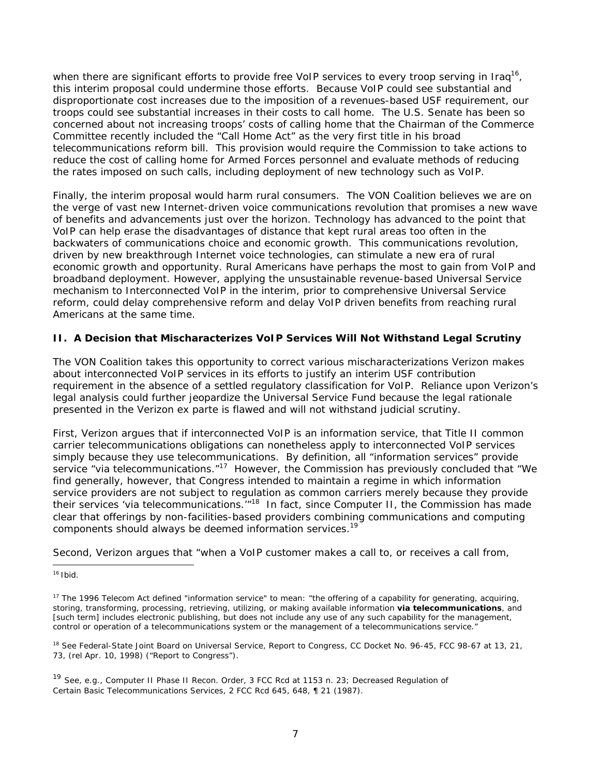when there are significant efforts to provide free VoIP services to every troop serving in Irag<sup>16</sup>. this interim proposal could undermine those efforts. Because VoIP could see substantial and disproportionate cost increases due to the imposition of a revenues-based USF requirement, our troops could see substantial increases in their costs to call home. The U.S. Senate has been so concerned about not increasing troops' costs of calling home that the Chairman of the Commerce Committee recently included the "Call Home Act" as the very first title in his broad telecommunications reform bill. This provision would require the Commission to take actions to reduce the cost of calling home for Armed Forces personnel and evaluate methods of reducing the rates imposed on such calls, including deployment of new technology such as VoIP.

Finally, the interim proposal would harm rural consumers. The VON Coalition believes we are on the verge of vast new Internet-driven voice communications revolution that promises a new wave of benefits and advancements just over the horizon. Technology has advanced to the point that VoIP can help erase the disadvantages of distance that kept rural areas too often in the backwaters of communications choice and economic growth. This communications revolution, driven by new breakthrough Internet voice technologies, can stimulate a new era of rural economic growth and opportunity. Rural Americans have perhaps the most to gain from VoIP and broadband deployment. However, applying the unsustainable revenue-based Universal Service mechanism to Interconnected VoIP in the interim, prior to comprehensive Universal Service reform, could delay comprehensive reform and delay VoIP driven benefits from reaching rural Americans at the same time.

# **II. A Decision that Mischaracterizes VoIP Services Will Not Withstand Legal Scrutiny**

The VON Coalition takes this opportunity to correct various mischaracterizations Verizon makes about interconnected VoIP services in its efforts to justify an interim USF contribution requirement in the absence of a settled regulatory classification for VoIP. Reliance upon Verizon's legal analysis could further jeopardize the Universal Service Fund because the legal rationale presented in the Verizon *ex parte* is flawed and will not withstand judicial scrutiny.

First, Verizon argues that if interconnected VoIP is an information service, that Title II common carrier telecommunications obligations can nonetheless apply to interconnected VoIP services simply because they use telecommunications. By definition, all "information services" provide service "via telecommunications."<sup>17</sup> However, the Commission has previously concluded that "We find generally, however, that Congress intended to maintain a regime in which information service providers are not subject to regulation as common carriers merely because they provide their services 'via telecommunications.'"18 In fact, since *Computer II*, the Commission has made clear that offerings by non-facilities-based providers combining communications and computing components should always be deemed information services.<sup>19</sup>

Second, Verizon argues that "when a VoIP customer makes a call to, or receives a call from,

<sup>1</sup> 16 Ibid.

<sup>&</sup>lt;sup>17</sup> The 1996 Telecom Act defined "information service" to mean: "the offering of a capability for generating, acquiring, storing, transforming, processing, retrieving, utilizing, or making available information *via telecommunications*, and [such term] includes electronic publishing, but does not include any use of any such capability for the management, control or operation of a telecommunications system or the management of a telecommunications service."

<sup>18</sup> *See Federal-State Joint Board on Universal Service,* Report to Congress, CC Docket No. 96-45, FCC 98-67 at 13, 21, 73, (rel Apr. 10, 1998) ("*Report to Congress*").

<sup>19</sup> *See, e.g., Computer II Phase II Recon. Order*, 3 FCC Rcd at 1153 n. 23; *Decreased Regulation of Certain Basic Telecommunications Services*, 2 FCC Rcd 645, 648, ¶ 21 (1987).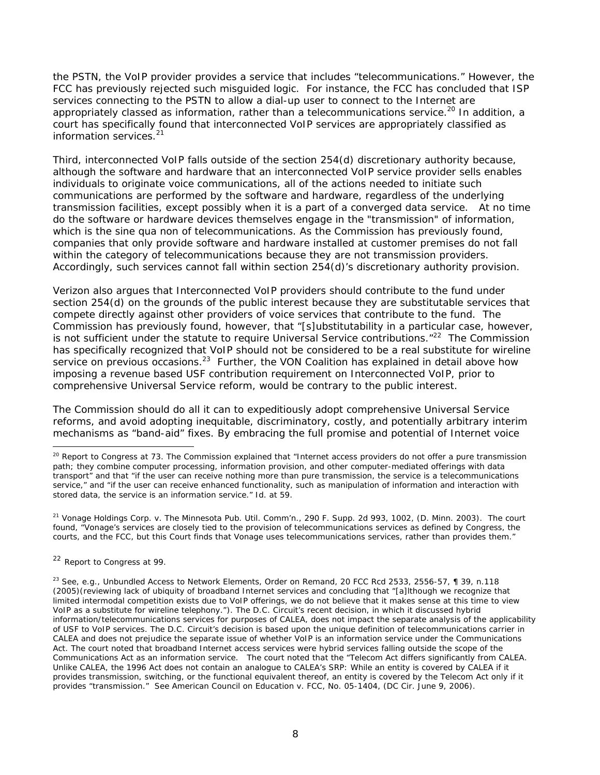the PSTN, the VoIP provider provides a service that includes "telecommunications." However, the FCC has previously rejected such misguided logic. For instance, the FCC has concluded that ISP services connecting to the PSTN to allow a dial-up user to connect to the Internet are appropriately classed as information, rather than a telecommunications service.<sup>20</sup> In addition, a court has specifically found that interconnected VoIP services are appropriately classified as information services.21

Third, interconnected VoIP falls outside of the section 254(d) discretionary authority because, although the software and hardware that an interconnected VoIP service provider sells enables individuals to originate voice communications, all of the actions needed to initiate such communications are performed by the software and hardware, regardless of the underlying transmission facilities, except possibly when it is a part of a converged data service. At no time do the software or hardware devices themselves engage in the "transmission" of information, which is the *sine qua non* of telecommunications. As the Commission has previously found, companies that only provide software and hardware installed at customer premises do not fall within the category of telecommunications because they are not transmission providers. Accordingly, such services cannot fall within section 254(d)'s discretionary authority provision.

Verizon also argues that Interconnected VoIP providers should contribute to the fund under section 254(d) on the grounds of the public interest because they are substitutable services that compete directly against other providers of voice services that contribute to the fund. The Commission has previously found, however, that *"[s]ubstitutability in a particular case, however, is not sufficient under the statute to require Universal Service contributions.*"<sup>22</sup> The Commission has specifically recognized that VoIP should not be considered to be a real substitute for wireline service on previous occasions.<sup>23</sup> Further, the VON Coalition has explained in detail above how imposing a revenue based USF contribution requirement on Interconnected VoIP, prior to comprehensive Universal Service reform, would be contrary to the public interest.

The Commission should do all it can to expeditiously adopt comprehensive Universal Service reforms, and avoid adopting inequitable, discriminatory, costly, and potentially arbitrary interim mechanisms as "band-aid" fixes. By embracing the full promise and potential of Internet voice

<sup>21</sup> *Vonage Holdings Corp. v. The Minnesota Pub. Util. Comm'n.*, 290 F. Supp. 2d 993, 1002, (D. Minn. 2003). The court found, "Vonage's services are closely tied to the provision of telecommunications services as defined by Congress, the courts, and the FCC, but this Court finds that Vonage uses telecommunications services, rather than provides them."

<sup>22</sup> *Report to Congress* at 99.

-

<sup>23</sup> *See, e.g., Unbundled Access to Network Elements,* Order on Remand, 20 FCC Rcd 2533, 2556-57, ¶ 39, n.118 (2005)(reviewing lack of ubiquity of broadband Internet services and concluding that "[a]lthough we recognize that limited intermodal competition exists due to VoIP offerings, we do not believe that it makes sense at this time to view VoIP as a substitute for wireline telephony."). The D.C. Circuit's recent decision, in which it discussed hybrid information/telecommunications services for purposes of CALEA, does not impact the separate analysis of the applicability of USF to VoIP services. The D.C. Circuit's decision is based upon the unique definition of telecommunications carrier in CALEA and does not prejudice the separate issue of whether VoIP is an information service under the Communications Act. The court noted that broadband Internet access services were hybrid services falling outside the scope of the Communications Act as an information service. The court noted that the "Telecom Act differs significantly from CALEA. Unlike CALEA, the 1996 Act does not contain an analogue to CALEA's SRP: While an entity is covered by CALEA if it provides transmission, switching, or the functional equivalent thereof, an entity is covered by the Telecom Act only if it provides "transmission." *See American Council on Education v. FCC*, No. 05-1404, (DC Cir. June 9, 2006).

<sup>20</sup> *Report to Congress* at 73. The Commission explained that "Internet access providers do not offer a pure transmission path; they combine computer processing, information provision, and other computer-mediated offerings with data transport" and that "if the user can receive nothing more than pure transmission, the service is a telecommunications service," and "if the user can receive enhanced functionality, such as manipulation of information and interaction with stored data, the service is an information service." *Id.* at 59.